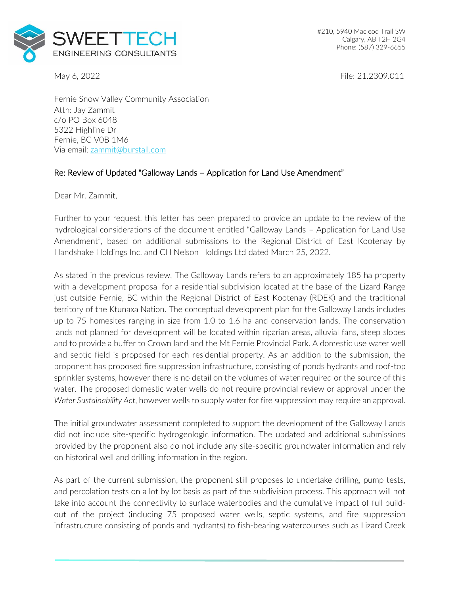

May 6, 2022 **File: 21.2309.011** 

Fernie Snow Valley Community Association Attn: Jay Zammit c/o PO Box 6048 5322 Highline Dr Fernie, BC V0B 1M6 Via email: [zammit@burstall.com](mailto:zammit@burstall.com)

## Re: Review of Updated "Galloway Lands – Application for Land Use Amendment"

Dear Mr. Zammit,

Further to your request, this letter has been prepared to provide an update to the review of the hydrological considerations of the document entitled "Galloway Lands – Application for Land Use Amendment", based on additional submissions to the Regional District of East Kootenay by Handshake Holdings Inc. and CH Nelson Holdings Ltd dated March 25, 2022.

As stated in the previous review, The Galloway Lands refers to an approximately 185 ha property with a development proposal for a residential subdivision located at the base of the Lizard Range just outside Fernie, BC within the Regional District of East Kootenay (RDEK) and the traditional territory of the Ktunaxa Nation. The conceptual development plan for the Galloway Lands includes up to 75 homesites ranging in size from 1.0 to 1.6 ha and conservation lands. The conservation lands not planned for development will be located within riparian areas, alluvial fans, steep slopes and to provide a buffer to Crown land and the Mt Fernie Provincial Park. A domestic use water well and septic field is proposed for each residential property. As an addition to the submission, the proponent has proposed fire suppression infrastructure, consisting of ponds hydrants and roof-top sprinkler systems, however there is no detail on the volumes of water required or the source of this water. The proposed domestic water wells do not require provincial review or approval under the *Water Sustainability Act*, however wells to supply water for fire suppression may require an approval.

The initial groundwater assessment completed to support the development of the Galloway Lands did not include site-specific hydrogeologic information. The updated and additional submissions provided by the proponent also do not include any site-specific groundwater information and rely on historical well and drilling information in the region.

As part of the current submission, the proponent still proposes to undertake drilling, pump tests, and percolation tests on a lot by lot basis as part of the subdivision process. This approach will not take into account the connectivity to surface waterbodies and the cumulative impact of full buildout of the project (including 75 proposed water wells, septic systems, and fire suppression infrastructure consisting of ponds and hydrants) to fish-bearing watercourses such as Lizard Creek